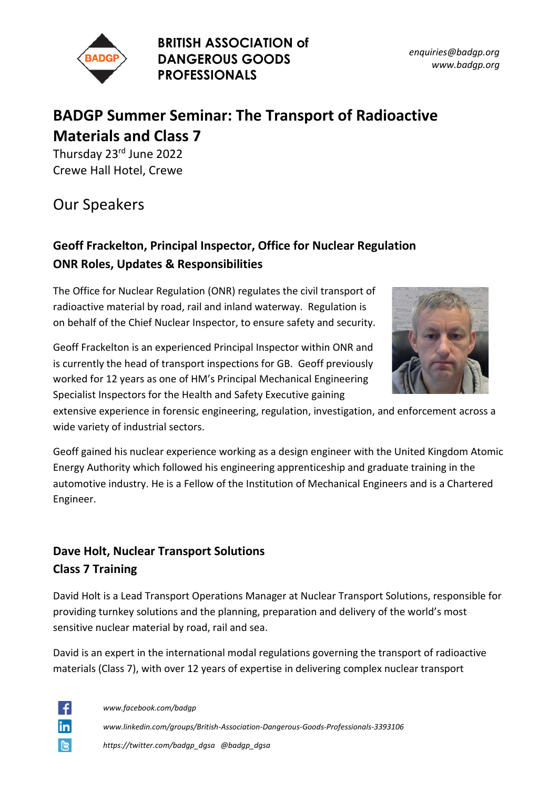

**BRITISH ASSOCIATION of DANGEROUS GOODS PROFESSIONALS**

*enquiries@badgp.org www.badgp.org*

# **BADGP Summer Seminar: The Transport of Radioactive Materials and Class 7**

Thursday 23<sup>rd</sup> June 2022 Crewe Hall Hotel, Crewe

Our Speakers

## **Geoff Frackelton, Principal Inspector, Office for Nuclear Regulation ONR Roles, Updates & Responsibilities**

The Office for Nuclear Regulation (ONR) regulates the civil transport of radioactive material by road, rail and inland waterway. Regulation is on behalf of the Chief Nuclear Inspector, to ensure safety and security.



extensive experience in forensic engineering, regulation, investigation, and enforcement across a wide variety of industrial sectors.

Geoff gained his nuclear experience working as a design engineer with the United Kingdom Atomic Energy Authority which followed his engineering apprenticeship and graduate training in the automotive industry. He is a Fellow of the Institution of Mechanical Engineers and is a Chartered Engineer.

## **Dave Holt, Nuclear Transport Solutions Class 7 Training**

David Holt is a Lead Transport Operations Manager at Nuclear Transport Solutions, responsible for providing turnkey solutions and the planning, preparation and delivery of the world's most sensitive nuclear material by road, rail and sea.

David is an expert in the international modal regulations governing the transport of radioactive materials (Class 7), with over 12 years of expertise in delivering complex nuclear transport

÷ in **C** 

*www.facebook.com/badgp www.linkedin.com/groups/British-Association-Dangerous-Goods-Professionals-3393106 https://twitter.com/badgp\_dgsa @badgp\_dgsa*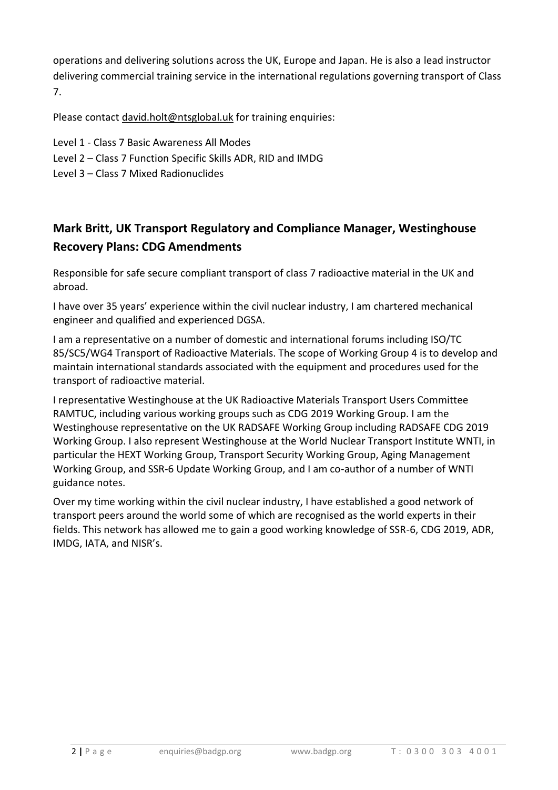operations and delivering solutions across the UK, Europe and Japan. He is also a lead instructor delivering commercial training service in the international regulations governing transport of Class 7.

Please contact [david.holt@ntsglobal.uk](mailto:david.holt@ntsglobal.uk) for training enquiries:

- Level 1 Class 7 Basic Awareness All Modes
- Level 2 Class 7 Function Specific Skills ADR, RID and IMDG
- Level 3 Class 7 Mixed Radionuclides

## **Mark Britt, UK Transport Regulatory and Compliance Manager, Westinghouse Recovery Plans: CDG Amendments**

Responsible for safe secure compliant transport of class 7 radioactive material in the UK and abroad.

I have over 35 years' experience within the civil nuclear industry, I am chartered mechanical engineer and qualified and experienced DGSA.

I am a representative on a number of domestic and international forums including ISO/TC 85/SC5/WG4 Transport of Radioactive Materials. The scope of Working Group 4 is to develop and maintain international standards associated with the equipment and procedures used for the transport of radioactive material.

I representative Westinghouse at the UK Radioactive Materials Transport Users Committee RAMTUC, including various working groups such as CDG 2019 Working Group. I am the Westinghouse representative on the UK RADSAFE Working Group including RADSAFE CDG 2019 Working Group. I also represent Westinghouse at the World Nuclear Transport Institute WNTI, in particular the HEXT Working Group, Transport Security Working Group, Aging Management Working Group, and SSR-6 Update Working Group, and I am co-author of a number of WNTI guidance notes.

Over my time working within the civil nuclear industry, I have established a good network of transport peers around the world some of which are recognised as the world experts in their fields. This network has allowed me to gain a good working knowledge of SSR-6, CDG 2019, ADR, IMDG, IATA, and NISR's.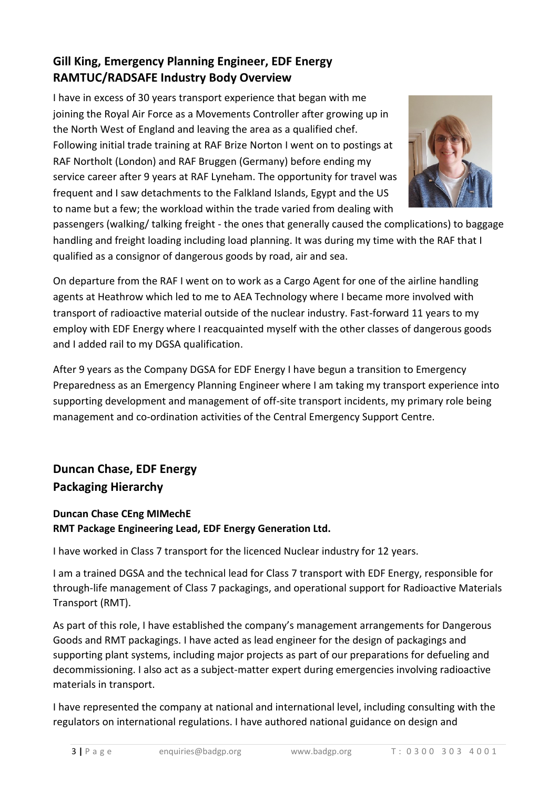### **Gill King, Emergency Planning Engineer, EDF Energy RAMTUC/RADSAFE Industry Body Overview**

I have in excess of 30 years transport experience that began with me joining the Royal Air Force as a Movements Controller after growing up in the North West of England and leaving the area as a qualified chef. Following initial trade training at RAF Brize Norton I went on to postings at RAF Northolt (London) and RAF Bruggen (Germany) before ending my service career after 9 years at RAF Lyneham. The opportunity for travel was frequent and I saw detachments to the Falkland Islands, Egypt and the US to name but a few; the workload within the trade varied from dealing with



passengers (walking/ talking freight - the ones that generally caused the complications) to baggage handling and freight loading including load planning. It was during my time with the RAF that I qualified as a consignor of dangerous goods by road, air and sea.

On departure from the RAF I went on to work as a Cargo Agent for one of the airline handling agents at Heathrow which led to me to AEA Technology where I became more involved with transport of radioactive material outside of the nuclear industry. Fast-forward 11 years to my employ with EDF Energy where I reacquainted myself with the other classes of dangerous goods and I added rail to my DGSA qualification.

After 9 years as the Company DGSA for EDF Energy I have begun a transition to Emergency Preparedness as an Emergency Planning Engineer where I am taking my transport experience into supporting development and management of off-site transport incidents, my primary role being management and co-ordination activities of the Central Emergency Support Centre.

## **Duncan Chase, EDF Energy Packaging Hierarchy**

#### **Duncan Chase CEng MIMechE RMT Package Engineering Lead, EDF Energy Generation Ltd.**

I have worked in Class 7 transport for the licenced Nuclear industry for 12 years.

I am a trained DGSA and the technical lead for Class 7 transport with EDF Energy, responsible for through-life management of Class 7 packagings, and operational support for Radioactive Materials Transport (RMT).

As part of this role, I have established the company's management arrangements for Dangerous Goods and RMT packagings. I have acted as lead engineer for the design of packagings and supporting plant systems, including major projects as part of our preparations for defueling and decommissioning. I also act as a subject-matter expert during emergencies involving radioactive materials in transport.

I have represented the company at national and international level, including consulting with the regulators on international regulations. I have authored national guidance on design and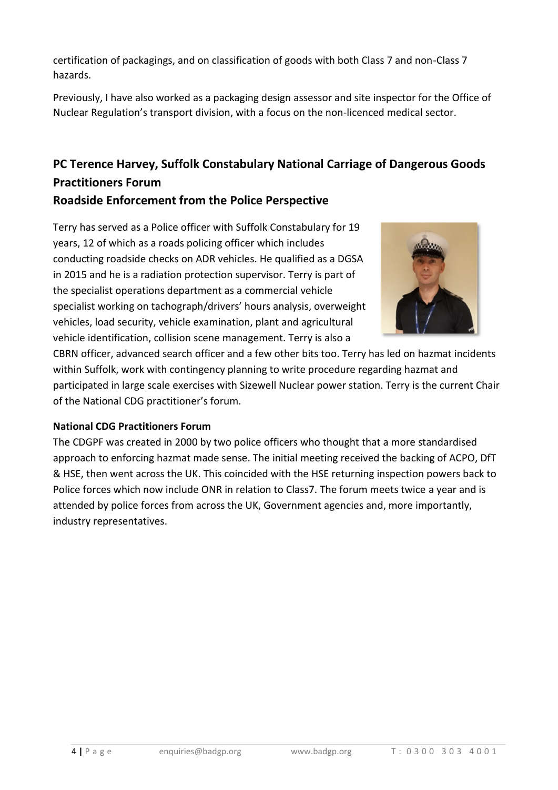certification of packagings, and on classification of goods with both Class 7 and non-Class 7 hazards.

Previously, I have also worked as a packaging design assessor and site inspector for the Office of Nuclear Regulation's transport division, with a focus on the non-licenced medical sector.

# **PC Terence Harvey, Suffolk Constabulary National Carriage of Dangerous Goods Practitioners Forum**

### **Roadside Enforcement from the Police Perspective**

Terry has served as a Police officer with Suffolk Constabulary for 19 years, 12 of which as a roads policing officer which includes conducting roadside checks on ADR vehicles. He qualified as a DGSA in 2015 and he is a radiation protection supervisor. Terry is part of the specialist operations department as a commercial vehicle specialist working on tachograph/drivers' hours analysis, overweight vehicles, load security, vehicle examination, plant and agricultural vehicle identification, collision scene management. Terry is also a



CBRN officer, advanced search officer and a few other bits too. Terry has led on hazmat incidents within Suffolk, work with contingency planning to write procedure regarding hazmat and participated in large scale exercises with Sizewell Nuclear power station. Terry is the current Chair of the National CDG practitioner's forum.

#### **National CDG Practitioners Forum**

The CDGPF was created in 2000 by two police officers who thought that a more standardised approach to enforcing hazmat made sense. The initial meeting received the backing of ACPO, DfT & HSE, then went across the UK. This coincided with the HSE returning inspection powers back to Police forces which now include ONR in relation to Class7. The forum meets twice a year and is attended by police forces from across the UK, Government agencies and, more importantly, industry representatives.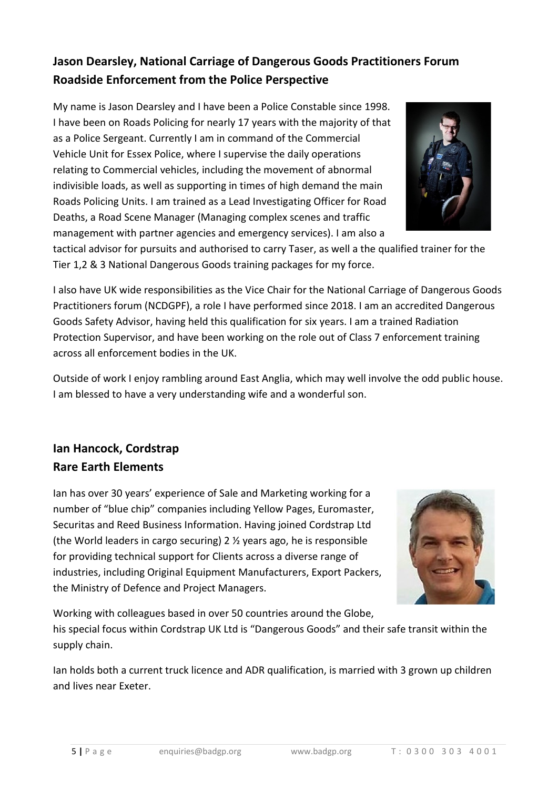## **Jason Dearsley, National Carriage of Dangerous Goods Practitioners Forum Roadside Enforcement from the Police Perspective**

My name is Jason Dearsley and I have been a Police Constable since 1998. I have been on Roads Policing for nearly 17 years with the majority of that as a Police Sergeant. Currently I am in command of the Commercial Vehicle Unit for Essex Police, where I supervise the daily operations relating to Commercial vehicles, including the movement of abnormal indivisible loads, as well as supporting in times of high demand the main Roads Policing Units. I am trained as a Lead Investigating Officer for Road Deaths, a Road Scene Manager (Managing complex scenes and traffic management with partner agencies and emergency services). I am also a



I also have UK wide responsibilities as the Vice Chair for the National Carriage of Dangerous Goods Practitioners forum (NCDGPF), a role I have performed since 2018. I am an accredited Dangerous Goods Safety Advisor, having held this qualification for six years. I am a trained Radiation Protection Supervisor, and have been working on the role out of Class 7 enforcement training across all enforcement bodies in the UK.

Outside of work I enjoy rambling around East Anglia, which may well involve the odd public house. I am blessed to have a very understanding wife and a wonderful son.

## **Ian Hancock, Cordstrap Rare Earth Elements**

Ian has over 30 years' experience of Sale and Marketing working for a number of "blue chip" companies including Yellow Pages, Euromaster, Securitas and Reed Business Information. Having joined Cordstrap Ltd (the World leaders in cargo securing) 2 ½ years ago, he is responsible for providing technical support for Clients across a diverse range of industries, including Original Equipment Manufacturers, Export Packers, the Ministry of Defence and Project Managers.



Working with colleagues based in over 50 countries around the Globe, his special focus within Cordstrap UK Ltd is "Dangerous Goods" and their safe transit within the supply chain.

Ian holds both a current truck licence and ADR qualification, is married with 3 grown up children and lives near Exeter.